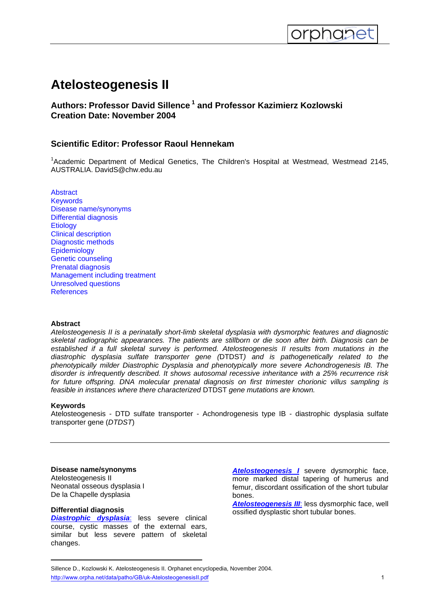# **Atelosteogenesis II**

<span id="page-0-0"></span>

# **Authors: Professor David Sillence 1 and Professor Kazimierz Kozlowski Creation Date: November 2004**

# **Scientific Editor: Professor Raoul Hennekam**

<sup>1</sup>Academic Department of Medical Genetics, The Children's Hospital at Westmead, Westmead 2145, AUSTRALIA. DavidS@chw.edu.au

**[Abstract](#page-0-0) [Keywords](#page-0-0)** [Disease name/synonyms](#page-0-0) [Differential diagnosis](#page-0-0) **[Etiology](#page-1-0)** [Clinical description](#page-1-0) [Diagnostic methods](#page-1-0) **[Epidemiology](#page-1-0)** [Genetic counseling](#page-1-0) [Prenatal diagnosis](#page-1-0) [Management including treatment](#page-1-0) [Unresolved questions](#page-1-0) **[References](#page-1-0)** 

## **Abstract**

*Atelosteogenesis II is a perinatally short-limb skeletal dysplasia with dysmorphic features and diagnostic skeletal radiographic appearances. The patients are stillborn or die soon after birth. Diagnosis can be established if a full skeletal survey is performed. Atelosteogenesis II results from mutations in the diastrophic dysplasia sulfate transporter gene (*DTDST*) and is pathogenetically related to the phenotypically milder Diastrophic Dysplasia and phenotypically more severe Achondrogenesis IB. The disorder is infrequently described. It shows autosomal recessive inheritance with a 25% recurrence risk for future offspring. DNA molecular prenatal diagnosis on first trimester chorionic villus sampling is feasible in instances where there characterized* DTDST *gene mutations are known.* 

## **Keywords**

Atelosteogenesis - DTD sulfate transporter - Achondrogenesis type IB - diastrophic dysplasia sulfate transporter gene (*DTDST*)

#### **Disease name/synonyms**

Atelosteogenesis II Neonatal osseous dysplasia I De la Chapelle dysplasia

#### **Differential diagnosis**

*[Diastrophic dysplasia](http://www.orpha.net//consor/cgi-bin/OC_Exp.php?Lng=GB&Expert=628)*: less severe clinical course, cystic masses of the external ears, similar but less severe pattern of skeletal changes.

*[Atelosteogenesis I](http://www.orpha.net//consor/cgi-bin/OC_Exp.php?Lng=GB&Expert=1190)* severe dysmorphic face, more marked distal tapering of humerus and femur, discordant ossification of the short tubular bones.

*[Atelosteogenesis III](http://www.orpha.net/data/patho/GB/uk-AtelosteogenesisIII.pdf)*: less dysmorphic face, well ossified dysplastic short tubular bones.

Sillence D., Kozlowski K. Atelosteogenesis II. Orphanet encyclopedia, November 2004. http://www.orpha.net/data/patho/GB/uk-AtelosteogenesisII.pdf 1